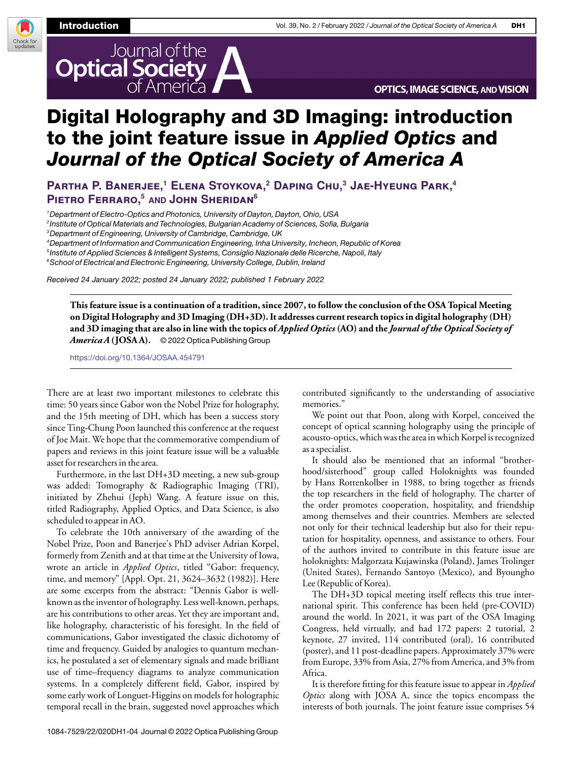

Check for<br>updates



## Digital Holography and 3D Imaging: introduction to the joint feature issue in Applied Optics and Journal of the Optical Society of America A

**Partha P. Banerjee,<sup>1</sup> Elena Stoykova,<sup>2</sup> Daping Chu,<sup>3</sup> Jae-Hyeung Park,<sup>4</sup> Pietro Ferraro,<sup>5</sup> AND John Sheridan<sup>6</sup>**

<sup>1</sup> Department of Electro-Optics and Photonics, University of Dayton, Dayton, Ohio, USA

2 Institute of Optical Materials and Technologies, Bulgarian Academy of Sciences, Sofia, Bulgaria

<sup>3</sup>Department of Engineering, University of Cambridge, Cambridge, UK

<sup>4</sup>Department of Information and Communication Engineering, Inha University, Incheon, Republic of Korea 5 Institute of Applied Sciences & Intelligent Systems, Consiglio Nazionale delle Ricerche, Napoli, Italy

<sup>6</sup>School of Electrical and Electronic Engineering, University College, Dublin, Ireland

Received 24 January 2022; posted 24 January 2022; published 1 February 2022

**This feature issue is a continuation of a tradition, since 2007, to follow the conclusion of the OSA Topical Meeting on Digital Holography and 3D Imaging (DH+3D). It addresses current research topics in digital holography (DH) and 3D imaging that are also in line with the topics of** *Applied Optics* **(AO) and the** *Journal of the Optical Society of America A***(JOSA A).** © 2022 Optica Publishing Group

<https://doi.org/10.1364/JOSAA.454791>

There are at least two important milestones to celebrate this time: 50 years since Gabor won the Nobel Prize for holography, and the 15th meeting of DH, which has been a success story since Ting-Chung Poon launched this conference at the request of Joe Mait. We hope that the commemorative compendium of papers and reviews in this joint feature issue will be a valuable asset for researchers in the area.

Furthermore, in the last DH+3D meeting, a new sub-group was added: Tomography & Radiographic Imaging (TRI), initiated by Zhehui (Jeph) Wang. A feature issue on this, titled Radiography, Applied Optics, and Data Science, is also scheduled to appear in AO.

To celebrate the 10th anniversary of the awarding of the Nobel Prize, Poon and Banerjee's PhD adviser Adrian Korpel, formerly from Zenith and at that time at the University of Iowa, wrote an article in *Applied Optics*, titled "Gabor: frequency, time, and memory" [Appl. Opt. 21, 3624–3632 (1982)]. Here are some excerpts from the abstract: "Dennis Gabor is wellknown as the inventor of holography. Less well-known, perhaps, are his contributions to other areas. Yet they are important and, like holography, characteristic of his foresight. In the field of communications, Gabor investigated the classic dichotomy of time and frequency. Guided by analogies to quantum mechanics, he postulated a set of elementary signals and made brilliant use of time–frequency diagrams to analyze communication systems. In a completely different field, Gabor, inspired by some early work of Longuet-Higgins on models for holographic temporal recall in the brain, suggested novel approaches which contributed significantly to the understanding of associative memories."

We point out that Poon, along with Korpel, conceived the concept of optical scanning holography using the principle of acousto-optics, which was the area in which Korpel is recognized as a specialist.

It should also be mentioned that an informal "brotherhood/sisterhood" group called Holoknights was founded by Hans Rottenkolber in 1988, to bring together as friends the top researchers in the field of holography. The charter of the order promotes cooperation, hospitality, and friendship among themselves and their countries. Members are selected not only for their technical leadership but also for their reputation for hospitality, openness, and assistance to others. Four of the authors invited to contribute in this feature issue are holoknights: Malgorzata Kujawinska (Poland), James Trolinger (United States), Fernando Santoyo (Mexico), and Byoungho Lee (Republic of Korea).

The DH+3D topical meeting itself reflects this true international spirit. This conference has been held (pre-COVID) around the world. In 2021, it was part of the OSA Imaging Congress, held virtually, and had 172 papers: 2 tutorial, 2 keynote, 27 invited, 114 contributed (oral), 16 contributed (poster), and 11 post-deadline papers. Approximately 37% were from Europe, 33% from Asia, 27% from America, and 3% from Africa.

It is therefore fitting for this feature issue to appear in *Applied Optics* along with JOSA A, since the topics encompass the interests of both journals. The joint feature issue comprises 54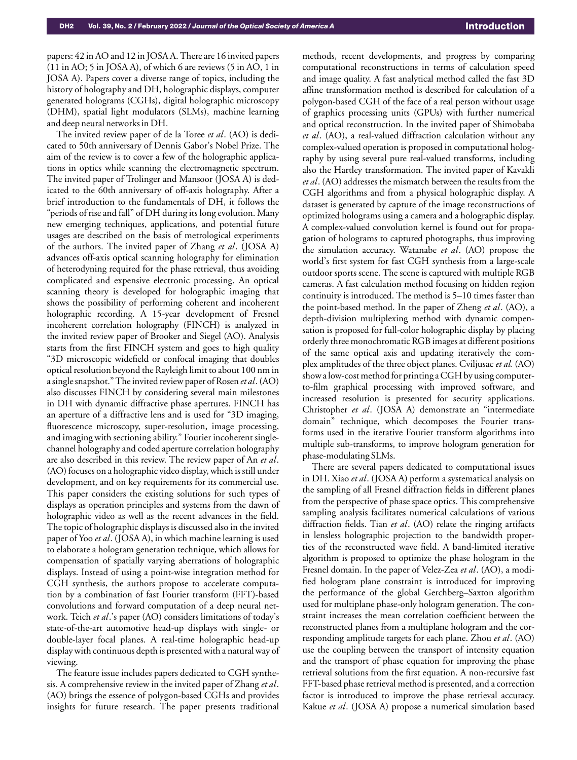papers: 42 in AO and 12 in JOSA A. There are 16 invited papers (11 in AO; 5 in JOSA A), of which 6 are reviews (5 in AO, 1 in JOSA A). Papers cover a diverse range of topics, including the history of holography and DH, holographic displays, computer generated holograms (CGHs), digital holographic microscopy (DHM), spatial light modulators (SLMs), machine learning and deep neural networks in DH.

The invited review paper of de la Toree *et al*. (AO) is dedicated to 50th anniversary of Dennis Gabor's Nobel Prize. The aim of the review is to cover a few of the holographic applications in optics while scanning the electromagnetic spectrum. The invited paper of Trolinger and Mansoor (JOSA A) is dedicated to the 60th anniversary of off-axis holography. After a brief introduction to the fundamentals of DH, it follows the "periods of rise and fall" of DH during its long evolution. Many new emerging techniques, applications, and potential future usages are described on the basis of metrological experiments of the authors. The invited paper of Zhang *et al*. (JOSA A) advances off-axis optical scanning holography for elimination of heterodyning required for the phase retrieval, thus avoiding complicated and expensive electronic processing. An optical scanning theory is developed for holographic imaging that shows the possibility of performing coherent and incoherent holographic recording. A 15-year development of Fresnel incoherent correlation holography (FINCH) is analyzed in the invited review paper of Brooker and Siegel (AO). Analysis starts from the first FINCH system and goes to high quality "3D microscopic widefield or confocal imaging that doubles optical resolution beyond the Rayleigh limit to about 100 nm in a single snapshot." The invited review paper of Rosen *et al*. (AO) also discusses FINCH by considering several main milestones in DH with dynamic diffractive phase apertures. FINCH has an aperture of a diffractive lens and is used for "3D imaging, fluorescence microscopy, super-resolution, image processing, and imaging with sectioning ability." Fourier incoherent singlechannel holography and coded aperture correlation holography are also described in this review. The review paper of An *et al*. (AO) focuses on a holographic video display, which is still under development, and on key requirements for its commercial use. This paper considers the existing solutions for such types of displays as operation principles and systems from the dawn of holographic video as well as the recent advances in the field. The topic of holographic displays is discussed also in the invited paper of Yoo *et al*. (JOSA A), in which machine learning is used to elaborate a hologram generation technique, which allows for compensation of spatially varying aberrations of holographic displays. Instead of using a point-wise integration method for CGH synthesis, the authors propose to accelerate computation by a combination of fast Fourier transform (FFT)-based convolutions and forward computation of a deep neural network. Teich *et al*.'s paper (AO) considers limitations of today's state-of-the-art automotive head-up displays with single- or double-layer focal planes. A real-time holographic head-up display with continuous depth is presented with a natural way of viewing.

The feature issue includes papers dedicated to CGH synthesis. A comprehensive review in the invited paper of Zhang *et al*. (AO) brings the essence of polygon-based CGHs and provides insights for future research. The paper presents traditional methods, recent developments, and progress by comparing computational reconstructions in terms of calculation speed and image quality. A fast analytical method called the fast 3D affine transformation method is described for calculation of a polygon-based CGH of the face of a real person without usage of graphics processing units (GPUs) with further numerical and optical reconstruction. In the invited paper of Shimobaba *et al*. (AO), a real-valued diffraction calculation without any complex-valued operation is proposed in computational holography by using several pure real-valued transforms, including also the Hartley transformation. The invited paper of Kavakli *et al*. (AO) addresses the mismatch between the results from the CGH algorithms and from a physical holographic display. A dataset is generated by capture of the image reconstructions of optimized holograms using a camera and a holographic display. A complex-valued convolution kernel is found out for propagation of holograms to captured photographs, thus improving the simulation accuracy. Watanabe *et al*. (AO) propose the world's first system for fast CGH synthesis from a large-scale outdoor sports scene. The scene is captured with multiple RGB cameras. A fast calculation method focusing on hidden region continuity is introduced. The method is 5–10 times faster than the point-based method. In the paper of Zheng *et al*. (AO), a depth-division multiplexing method with dynamic compensation is proposed for full-color holographic display by placing orderly three monochromatic RGB images at different positions of the same optical axis and updating iteratively the complex amplitudes of the three object planes. Cviljusac *et al.* (AO) show a low-cost method for printing a CGH by using computerto-film graphical processing with improved software, and increased resolution is presented for security applications. Christopher *et al*. (JOSA A) demonstrate an "intermediate domain" technique, which decomposes the Fourier transforms used in the iterative Fourier transform algorithms into multiple sub-transforms, to improve hologram generation for phase-modulating SLMs.

There are several papers dedicated to computational issues in DH. Xiao *et al*. (JOSA A) perform a systematical analysis on the sampling of all Fresnel diffraction fields in different planes from the perspective of phase space optics. This comprehensive sampling analysis facilitates numerical calculations of various diffraction fields. Tian *et al*. (AO) relate the ringing artifacts in lensless holographic projection to the bandwidth properties of the reconstructed wave field. A band-limited iterative algorithm is proposed to optimize the phase hologram in the Fresnel domain. In the paper of Velez-Zea *et al*. (AO), a modified hologram plane constraint is introduced for improving the performance of the global Gerchberg–Saxton algorithm used for multiplane phase-only hologram generation. The constraint increases the mean correlation coefficient between the reconstructed planes from a multiplane hologram and the corresponding amplitude targets for each plane. Zhou *et al*. (AO) use the coupling between the transport of intensity equation and the transport of phase equation for improving the phase retrieval solutions from the first equation. A non-recursive fast FFT-based phase retrieval method is presented, and a correction factor is introduced to improve the phase retrieval accuracy. Kakue *et al*. (JOSA A) propose a numerical simulation based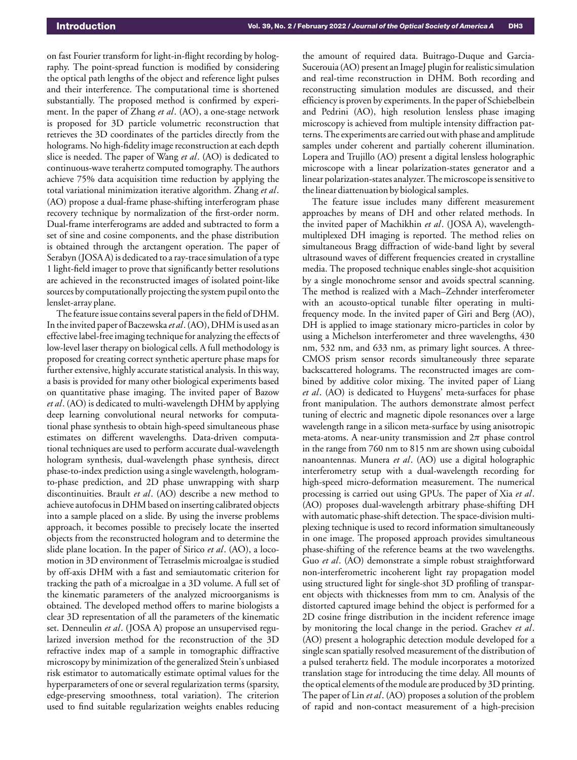on fast Fourier transform for light-in-flight recording by holography. The point-spread function is modified by considering the optical path lengths of the object and reference light pulses and their interference. The computational time is shortened substantially. The proposed method is confirmed by experiment. In the paper of Zhang *et al*. (AO), a one-stage network is proposed for 3D particle volumetric reconstruction that retrieves the 3D coordinates of the particles directly from the holograms. No high-fidelity image reconstruction at each depth slice is needed. The paper of Wang *et al*. (AO) is dedicated to continuous-wave terahertz computed tomography. The authors achieve 75% data acquisition time reduction by applying the total variational minimization iterative algorithm. Zhang *et al*. (AO) propose a dual-frame phase-shifting interferogram phase recovery technique by normalization of the first-order norm. Dual-frame interferograms are added and subtracted to form a set of sine and cosine components, and the phase distribution is obtained through the arctangent operation. The paper of Serabyn (JOSA A) is dedicated to a ray-trace simulation of a type 1 light-field imager to prove that significantly better resolutions are achieved in the reconstructed images of isolated point-like sources by computationally projecting the system pupil onto the lenslet-array plane.

The feature issue contains several papers in the field of DHM. In the invited paper of Baczewska *et al*. (AO), DHM is used as an effective label-free imaging technique for analyzing the effects of low-level laser therapy on biological cells. A full methodology is proposed for creating correct synthetic aperture phase maps for further extensive, highly accurate statistical analysis. In this way, a basis is provided for many other biological experiments based on quantitative phase imaging. The invited paper of Bazow *et al*. (AO) is dedicated to multi-wavelength DHM by applying deep learning convolutional neural networks for computational phase synthesis to obtain high-speed simultaneous phase estimates on different wavelengths. Data-driven computational techniques are used to perform accurate dual-wavelength hologram synthesis, dual-wavelength phase synthesis, direct phase-to-index prediction using a single wavelength, hologramto-phase prediction, and 2D phase unwrapping with sharp discontinuities. Brault *et al*. (AO) describe a new method to achieve autofocus in DHM based on inserting calibrated objects into a sample placed on a slide. By using the inverse problems approach, it becomes possible to precisely locate the inserted objects from the reconstructed hologram and to determine the slide plane location. In the paper of Sirico *et al*. (AO), a locomotion in 3D environment of Tetraselmis microalgae is studied by off-axis DHM with a fast and semiautomatic criterion for tracking the path of a microalgae in a 3D volume. A full set of the kinematic parameters of the analyzed microorganisms is obtained. The developed method offers to marine biologists a clear 3D representation of all the parameters of the kinematic set. Denneulin *et al*. (JOSA A) propose an unsupervised regularized inversion method for the reconstruction of the 3D refractive index map of a sample in tomographic diffractive microscopy by minimization of the generalized Stein's unbiased risk estimator to automatically estimate optimal values for the hyperparameters of one or several regularization terms (sparsity, edge-preserving smoothness, total variation). The criterion used to find suitable regularization weights enables reducing

the amount of required data. Buitrago-Duque and Garcia-Sucerouia (AO) present an ImageJ plugin for realistic simulation and real-time reconstruction in DHM. Both recording and reconstructing simulation modules are discussed, and their efficiency is proven by experiments. In the paper of Schiebelbein and Pedrini (AO), high resolution lensless phase imaging microscopy is achieved from multiple intensity diffraction patterns. The experiments are carried out with phase and amplitude samples under coherent and partially coherent illumination. Lopera and Trujillo (AO) present a digital lensless holographic microscope with a linear polarization-states generator and a linear polarization-states analyzer. The microscope is sensitive to the linear diattenuation by biological samples.

The feature issue includes many different measurement approaches by means of DH and other related methods. In the invited paper of Machikhin *et al*. (JOSA A), wavelengthmultiplexed DH imaging is reported. The method relies on simultaneous Bragg diffraction of wide-band light by several ultrasound waves of different frequencies created in crystalline media. The proposed technique enables single-shot acquisition by a single monochrome sensor and avoids spectral scanning. The method is realized with a Mach–Zehnder interferometer with an acousto-optical tunable filter operating in multifrequency mode. In the invited paper of Giri and Berg (AO), DH is applied to image stationary micro-particles in color by using a Michelson interferometer and three wavelengths, 430 nm, 532 nm, and 633 nm, as primary light sources. A three-CMOS prism sensor records simultaneously three separate backscattered holograms. The reconstructed images are combined by additive color mixing. The invited paper of Liang *et al*. (AO) is dedicated to Huygens' meta-surfaces for phase front manipulation. The authors demonstrate almost perfect tuning of electric and magnetic dipole resonances over a large wavelength range in a silicon meta-surface by using anisotropic meta-atoms. A near-unity transmission and  $2\pi$  phase control in the range from 760 nm to 815 nm are shown using cuboidal nanoantennas. Munera *et al*. (AO) use a digital holographic interferometry setup with a dual-wavelength recording for high-speed micro-deformation measurement. The numerical processing is carried out using GPUs. The paper of Xia *et al*. (AO) proposes dual-wavelength arbitrary phase-shifting DH with automatic phase-shift detection. The space-division multiplexing technique is used to record information simultaneously in one image. The proposed approach provides simultaneous phase-shifting of the reference beams at the two wavelengths. Guo *et al*. (AO) demonstrate a simple robust straightforward non-interferometric incoherent light ray propagation model using structured light for single-shot 3D profiling of transparent objects with thicknesses from mm to cm. Analysis of the distorted captured image behind the object is performed for a 2D cosine fringe distribution in the incident reference image by monitoring the local change in the period. Grachev *et al*. (AO) present a holographic detection module developed for a single scan spatially resolved measurement of the distribution of a pulsed terahertz field. The module incorporates a motorized translation stage for introducing the time delay. All mounts of the optical elements of the module are produced by 3D printing. The paper of Lin *et al*. (AO) proposes a solution of the problem of rapid and non-contact measurement of a high-precision